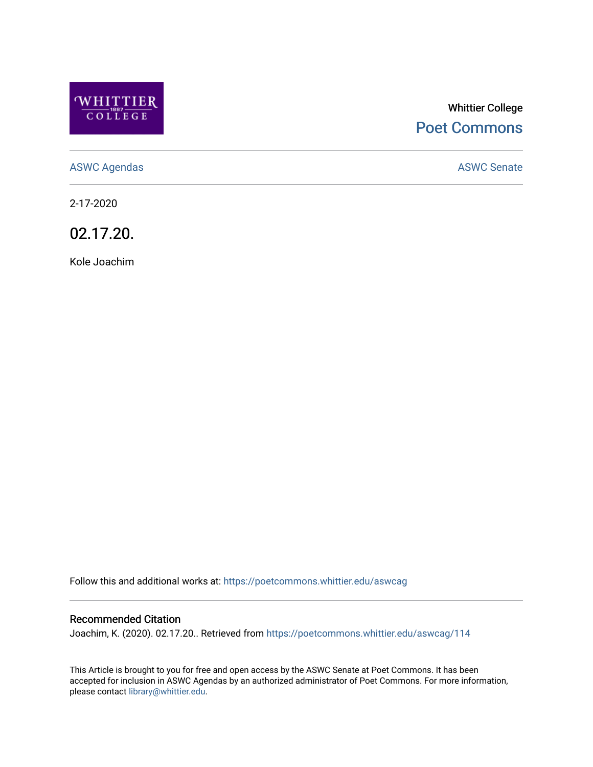

# Whittier College [Poet Commons](https://poetcommons.whittier.edu/)

[ASWC Agendas](https://poetcommons.whittier.edu/aswcag) **ASWC Senate** 

2-17-2020

02.17.20.

Kole Joachim

Follow this and additional works at: [https://poetcommons.whittier.edu/aswcag](https://poetcommons.whittier.edu/aswcag?utm_source=poetcommons.whittier.edu%2Faswcag%2F114&utm_medium=PDF&utm_campaign=PDFCoverPages) 

# Recommended Citation

Joachim, K. (2020). 02.17.20.. Retrieved from [https://poetcommons.whittier.edu/aswcag/114](https://poetcommons.whittier.edu/aswcag/114?utm_source=poetcommons.whittier.edu%2Faswcag%2F114&utm_medium=PDF&utm_campaign=PDFCoverPages) 

This Article is brought to you for free and open access by the ASWC Senate at Poet Commons. It has been accepted for inclusion in ASWC Agendas by an authorized administrator of Poet Commons. For more information, please contact [library@whittier.edu](mailto:library@whittier.edu).